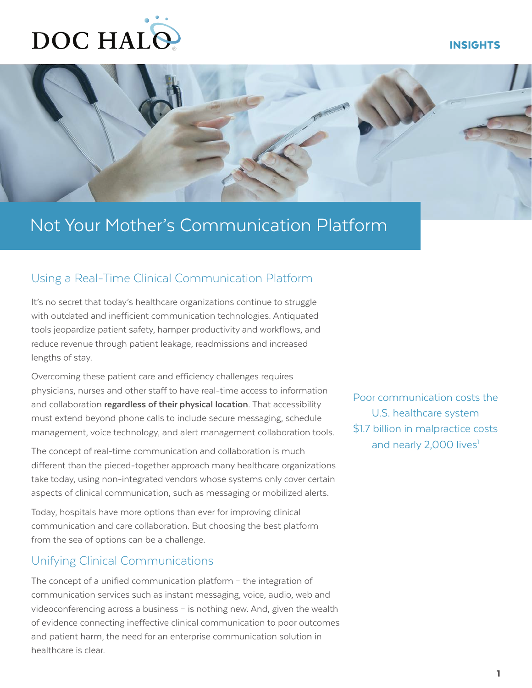# DOC HALO

### INSIGHTS



## Not Your Mother's Communication Platform

## Using a Real-Time Clinical Communication Platform

It's no secret that today's healthcare organizations continue to struggle with outdated and inefficient communication technologies. Antiquated tools jeopardize patient safety, hamper productivity and workflows, and reduce revenue through patient leakage, readmissions and increased lengths of stay.

Overcoming these patient care and efficiency challenges requires physicians, nurses and other staff to have real-time access to information and collaboration **regardless of their physical location**. That accessibility must extend beyond phone calls to include secure messaging, schedule management, voice technology, and alert management collaboration tools.

The concept of real-time communication and collaboration is much different than the pieced-together approach many healthcare organizations take today, using non-integrated vendors whose systems only cover certain aspects of clinical communication, such as messaging or mobilized alerts.

Today, hospitals have more options than ever for improving clinical communication and care collaboration. But choosing the best platform from the sea of options can be a challenge.

## Unifying Clinical Communications

The concept of a unified communication platform – the integration of communication services such as instant messaging, voice, audio, web and videoconferencing across a business – is nothing new. And, given the wealth of evidence connecting ineffective clinical communication to poor outcomes and patient harm, the need for an enterprise communication solution in healthcare is clear.

Poor communication costs the U.S. healthcare system \$1.7 billion in malpractice costs and nearly 2,000 lives<sup>1</sup>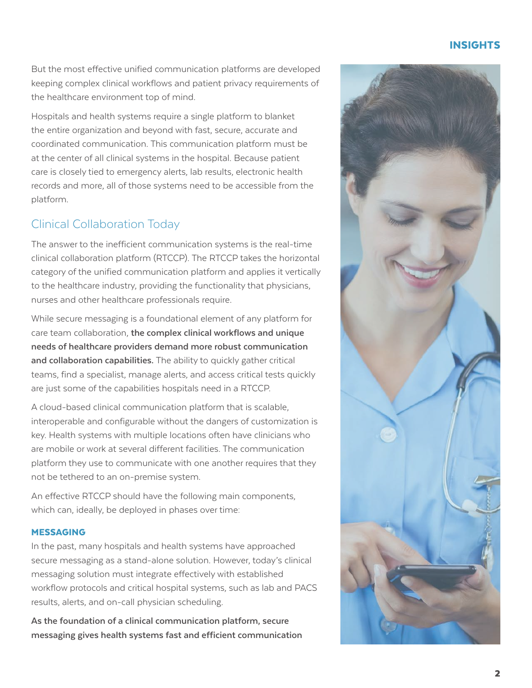## INSIGHTS

But the most effective unified communication platforms are developed keeping complex clinical workflows and patient privacy requirements of the healthcare environment top of mind.

Hospitals and health systems require a single platform to blanket the entire organization and beyond with fast, secure, accurate and coordinated communication. This communication platform must be at the center of all clinical systems in the hospital. Because patient care is closely tied to emergency alerts, lab results, electronic health records and more, all of those systems need to be accessible from the platform.

## Clinical Collaboration Today

The answer to the inefficient communication systems is the real-time clinical collaboration platform (RTCCP). The RTCCP takes the horizontal category of the unified communication platform and applies it vertically to the healthcare industry, providing the functionality that physicians, nurses and other healthcare professionals require.

While secure messaging is a foundational element of any platform for care team collaboration, **the complex clinical workflows and unique needs of healthcare providers demand more robust communication and collaboration capabilities.** The ability to quickly gather critical teams, find a specialist, manage alerts, and access critical tests quickly are just some of the capabilities hospitals need in a RTCCP.

A cloud-based clinical communication platform that is scalable, interoperable and configurable without the dangers of customization is key. Health systems with multiple locations often have clinicians who are mobile or work at several different facilities. The communication platform they use to communicate with one another requires that they not be tethered to an on-premise system.

An effective RTCCP should have the following main components, which can, ideally, be deployed in phases over time:

#### MESSAGING

In the past, many hospitals and health systems have approached secure messaging as a stand-alone solution. However, today's clinical messaging solution must integrate effectively with established workflow protocols and critical hospital systems, such as lab and PACS results, alerts, and on-call physician scheduling.

**As the foundation of a clinical communication platform, secure messaging gives health systems fast and efficient communication** 

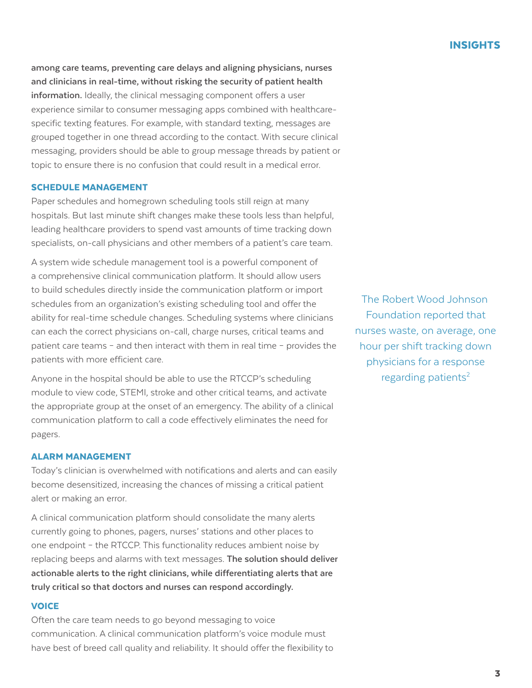**among care teams, preventing care delays and aligning physicians, nurses and clinicians in real-time, without risking the security of patient health information.** Ideally, the clinical messaging component offers a user experience similar to consumer messaging apps combined with healthcarespecific texting features. For example, with standard texting, messages are grouped together in one thread according to the contact. With secure clinical messaging, providers should be able to group message threads by patient or topic to ensure there is no confusion that could result in a medical error.

#### SCHEDULE MANAGEMENT

Paper schedules and homegrown scheduling tools still reign at many hospitals. But last minute shift changes make these tools less than helpful, leading healthcare providers to spend vast amounts of time tracking down specialists, on-call physicians and other members of a patient's care team.

A system wide schedule management tool is a powerful component of a comprehensive clinical communication platform. It should allow users to build schedules directly inside the communication platform or import schedules from an organization's existing scheduling tool and offer the ability for real-time schedule changes. Scheduling systems where clinicians can each the correct physicians on-call, charge nurses, critical teams and patient care teams – and then interact with them in real time – provides the patients with more efficient care.

Anyone in the hospital should be able to use the RTCCP's scheduling module to view code, STEMI, stroke and other critical teams, and activate the appropriate group at the onset of an emergency. The ability of a clinical communication platform to call a code effectively eliminates the need for pagers.

#### ALARM MANAGEMENT

Today's clinician is overwhelmed with notifications and alerts and can easily become desensitized, increasing the chances of missing a critical patient alert or making an error.

A clinical communication platform should consolidate the many alerts currently going to phones, pagers, nurses' stations and other places to one endpoint – the RTCCP. This functionality reduces ambient noise by replacing beeps and alarms with text messages. **The solution should deliver actionable alerts to the right clinicians, while differentiating alerts that are truly critical so that doctors and nurses can respond accordingly.**

#### **VOICE**

Often the care team needs to go beyond messaging to voice communication. A clinical communication platform's voice module must have best of breed call quality and reliability. It should offer the flexibility to

The Robert Wood Johnson Foundation reported that nurses waste, on average, one hour per shift tracking down physicians for a response regarding patients $2$